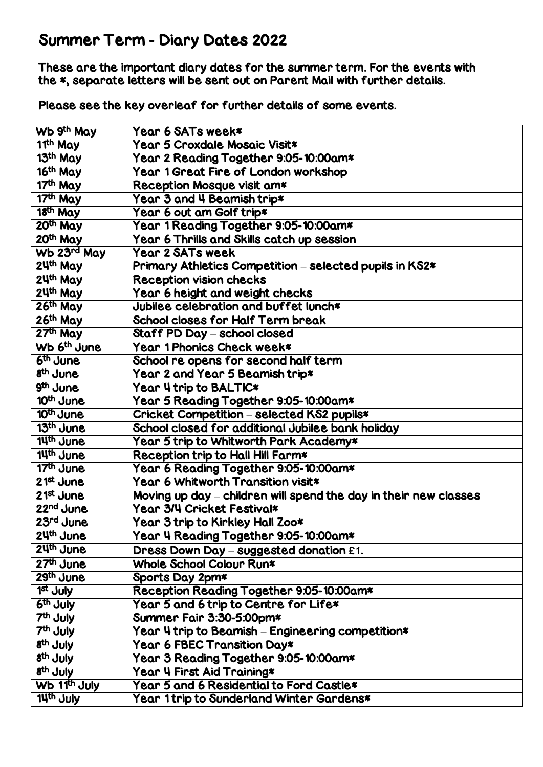## Summer Term - Diary Dates 2022

These are the important diary dates for the summer term. For the events with the \*, separate letters will be sent out on Parent Mail with further details.

Please see the key overleaf for further details of some events.

| Wb 9th May               | Year 6 SATs week*                                                |
|--------------------------|------------------------------------------------------------------|
| 11th May                 | Year 5 Croxdale Mosaic Visit*                                    |
| 13th May                 | Year 2 Reading Together 9:05-10:00am*                            |
| 16th May                 | Year 1 Great Fire of London workshop                             |
| $\overline{17^{th}}$ May | Reception Mosque visit am*                                       |
| 17th May                 | Year 3 and 4 Beamish trip*                                       |
| 18 <sup>th</sup> May     | Year 6 out am Golf trip*                                         |
| 20th May                 | Year 1 Reading Together 9:05-10:00am*                            |
| 20th May                 | Year 6 Thrills and Skills catch up session                       |
| Wb 23rd May              | <b>Year 2 SATs week</b>                                          |
| 24th May                 | Primary Athletics Competition - selected pupils in KS2*          |
| 24th May                 | <b>Reception vision checks</b>                                   |
| 24th May                 | Year 6 height and weight checks                                  |
| 26th May                 | Jubilee celebration and buffet lunch*                            |
| 26th May                 | School closes for Half Term break                                |
| 27th May                 | Staff PD Day - school closed                                     |
| Wb 6 <sup>th</sup> June  | Year 1 Phonics Check week*                                       |
| 6 <sup>th</sup> June     | School re opens for second half term                             |
| 8 <sup>th</sup> June     | Year 2 and Year 5 Beamish trip*                                  |
| 9 <sup>th</sup> June     | Year 4 trip to BALTIC*                                           |
| 10 <sup>th</sup> June    | Year 5 Reading Together 9:05-10:00am*                            |
| 10 <sup>th</sup> June    | Cricket Competition - selected KS2 pupils*                       |
| 13 <sup>th</sup> June    | School closed for additional Jubilee bank holiday                |
| 14th June                | Year 5 trip to Whitworth Park Academy*                           |
| 14th June                | Reception trip to Hall Hill Farm*                                |
| 17th June                | Year 6 Reading Together 9:05-10:00am*                            |
| $21st$ June              | Year 6 Whitworth Transition visit*                               |
| $21st$ June              | Moving up day – children will spend the day in their new classes |
| 22 <sup>nd</sup> June    | Year 3/4 Cricket Festival*                                       |
| 23rd June                | Year 3 trip to Kirkley Hall Zoo*                                 |
| 24th June                | Year 4 Reading Together 9:05-10:00am*                            |
| 24th June                | Dress Down Day - suggested donation £1.                          |
| 27 <sup>th</sup> June    | Whole School Colour Run*                                         |
| 29th June                | Sports Day 2pm*                                                  |
| 1 <sup>st</sup> July     | Reception Reading Together 9:05-10:00am*                         |
| 6th July                 | Year 5 and 6 trip to Centre for Life*                            |
| 7 <sup>th</sup> July     | Summer Fair 3:30-5:00pm*                                         |
| 7th July                 | Year 4 trip to Beamish - Engineering competition*                |
| 8 <sup>th</sup> July     | Year 6 FBEC Transition Day*                                      |
| 8 <sup>th</sup> July     | Year 3 Reading Together 9:05-10:00am*                            |
| 8 <sup>th</sup> July     | Year 4 First Aid Training*                                       |
| Wb 11 <sup>th</sup> July | Year 5 and 6 Residential to Ford Castle*                         |
| 14th July                | <b>Year 1 trip to Sunderland Winter Gardens*</b>                 |